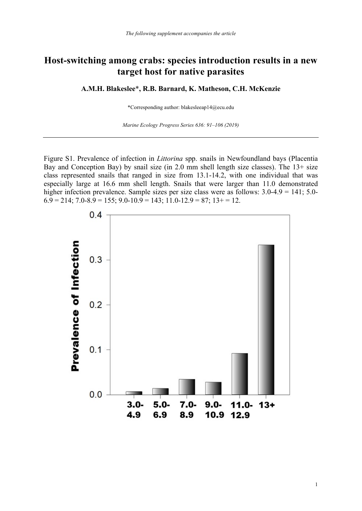## **Host-switching among crabs: species introduction results in a new target host for native parasites**

**A.M.H. Blakeslee**\***, R.B. Barnard, K. Matheson, C.H. McKenzie**

\*Corresponding author: blakesleeap14@ecu.edu

*Marine Ecology Progress Series 636: 91–106 (2019)*

Figure S1. Prevalence of infection in *Littorina* spp. snails in Newfoundland bays (Placentia Bay and Conception Bay) by snail size (in 2.0 mm shell length size classes). The 13+ size class represented snails that ranged in size from 13.1-14.2, with one individual that was especially large at 16.6 mm shell length. Snails that were larger than 11.0 demonstrated higher infection prevalence. Sample sizes per size class were as follows:  $3.0\n-4.9 = 141$ ;  $5.0\n 6.9 = 214$ ;  $7.0 - 8.9 = 155$ ;  $9.0 - 10.9 = 143$ ;  $11.0 - 12.9 = 87$ ;  $13 + 12.9 = 12$ .